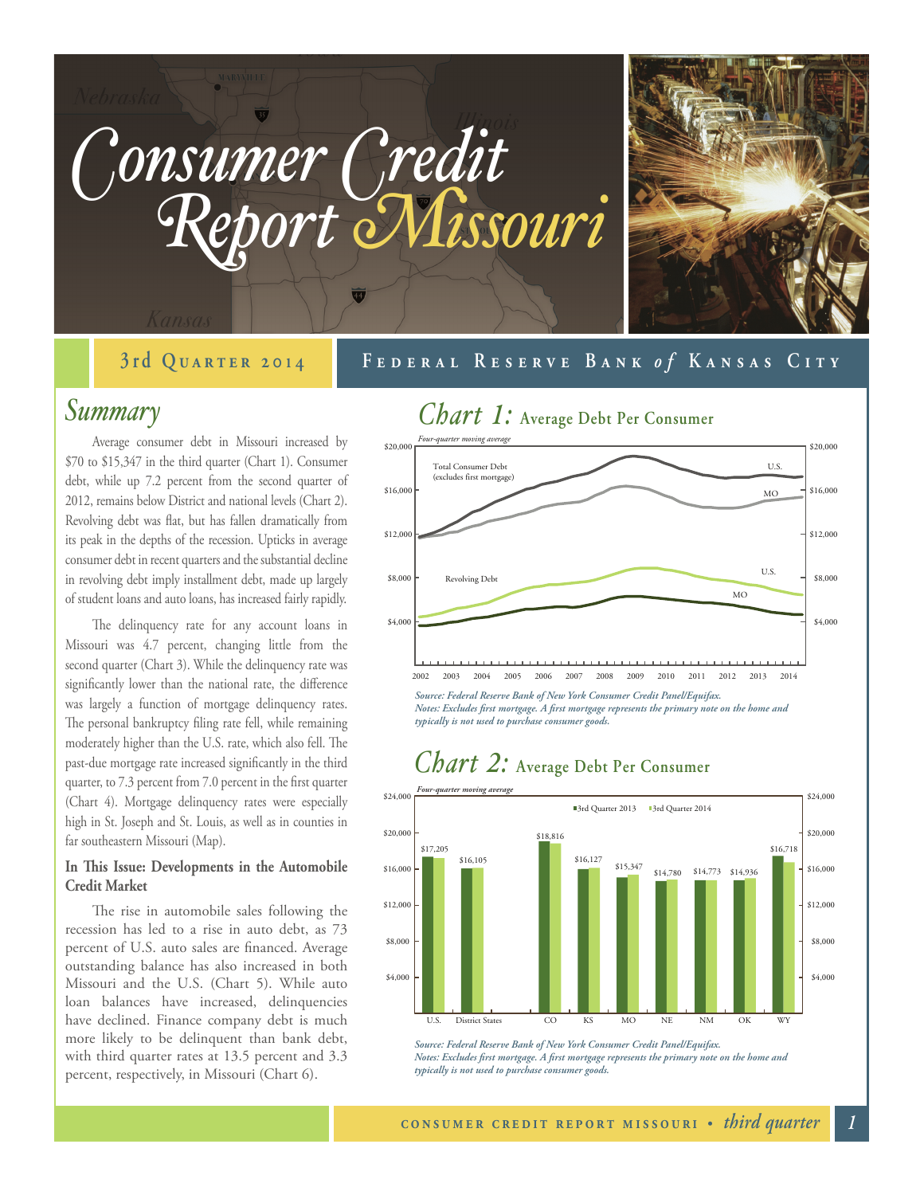

#### **September 20 3rd Quarter 20 11 40 Federal Reserve Bank Federal Reserve Bank** *o fo f* **Kansas City Kansas City**

#### *Summary*

Average consumer debt in Missouri increased by \$70 to \$15,347 in the third quarter (Chart 1). Consumer debt, while up 7.2 percent from the second quarter of 2012, remains below District and national levels (Chart 2). Revolving debt was flat, but has fallen dramatically from its peak in the depths of the recession. Upticks in average consumer debt in recent quarters and the substantial decline in revolving debt imply installment debt, made up largely of student loans and auto loans, has increased fairly rapidly.

The delinquency rate for any account loans in Missouri was 4.7 percent, changing little from the second quarter (Chart 3). While the delinquency rate was significantly lower than the national rate, the difference was largely a function of mortgage delinquency rates. The personal bankruptcy filing rate fell, while remaining moderately higher than the U.S. rate, which also fell. The past-due mortgage rate increased significantly in the third quarter, to 7.3 percent from 7.0 percent in the first quarter (Chart 4). Mortgage delinquency rates were especially high in St. Joseph and St. Louis, as well as in counties in far southeastern Missouri (Map).

#### **In This Issue: Developments in the Automobile Credit Market**

The rise in automobile sales following the recession has led to a rise in auto debt, as 73 percent of U.S. auto sales are financed. Average outstanding balance has also increased in both Missouri and the U.S. (Chart 5). While auto loan balances have increased, delinquencies have declined. Finance company debt is much more likely to be delinquent than bank debt, with third quarter rates at 13.5 percent and 3.3 percent, respectively, in Missouri (Chart 6).



*Notes: Excludes first mortgage. A first mortgage represents the primary note on the home and typically is not used to purchase consumer goods.*



### *Chart 2:* **Average Debt Per Consumer**

*Source: Federal Reserve Bank of New York Consumer Credit Panel/Equifax. Notes: Excludes first mortgage. A first mortgage represents the primary note on the home and typically is not used to purchase consumer goods.*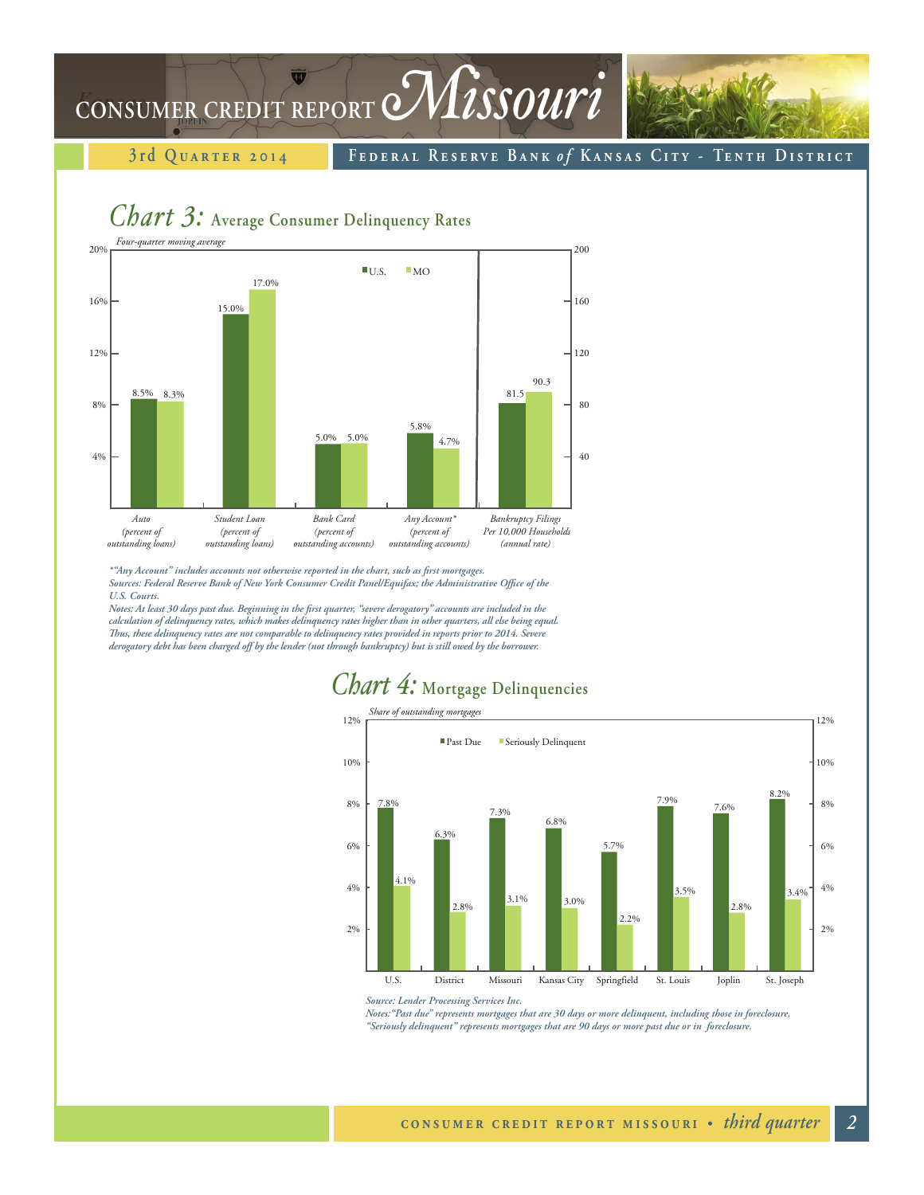## CONSUMER CREDIT REPORT *Missouri*

**3rd QUARTER 2014 1 FEDERAL RESERVE BANK of KANSAS CITY - TENTH DISTRICT** 

### *Chart 3:* **Average Consumer Delinquency Rates**



*\*"Any Account" includes accounts not otherwise reported in the chart, such as first mortgages. Sources: Federal Reserve Bank of New York Consumer Credit Panel/Equifax; the Administrative Office of the U.S. Courts.*

*Notes: At least 30 days past due. Beginning in the first quarter, "severe derogatory" accounts are included in the calculation of delinquency rates, which makes delinquency rates higher than in other quarters, all else being equal. Thus, these delinquency rates are not comparable to delinquency rates provided in reports prior to 2014. Severe derogatory debt has been charged off by the lender (not through bankruptcy) but is still owed by the borrower.*

### *Chart 4:* **Mortgage Delinquencies**



*Source: Lender Processing Services Inc.* 

*Notes:"Past due" represents mortgages that are 30 days or more delinquent, including those in foreclosure. "Seriously delinquent" represents mortgages that are 90 days or more past due or in foreclosure.*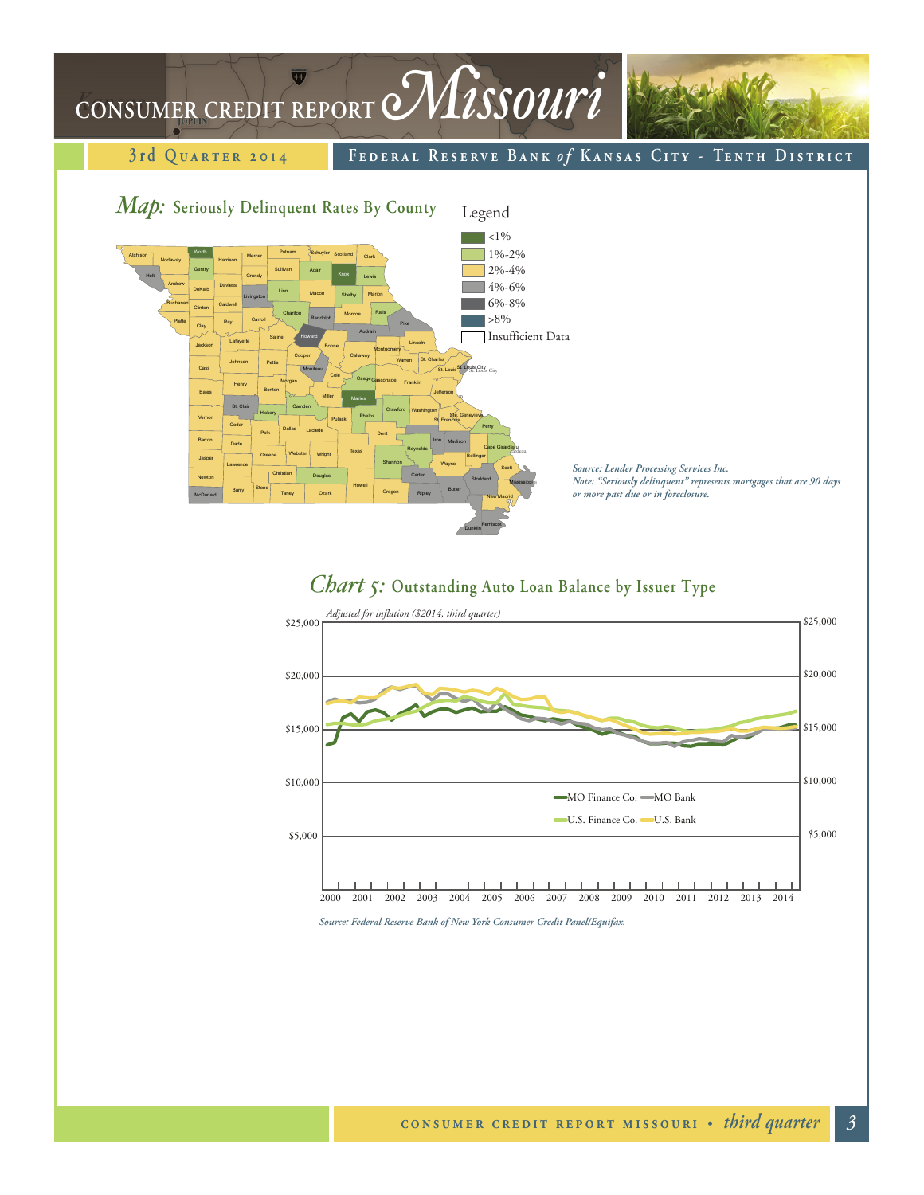# CONSUMER CREDIT REPORT *Missouri*

3rd Quarter 2014 **1 FEDERAL RESERVE BANK of KANSAS CITY - TENTH DISTRICT** 







*Source: Federal Reserve Bank of New York Consumer Credit Panel/Equifax.*